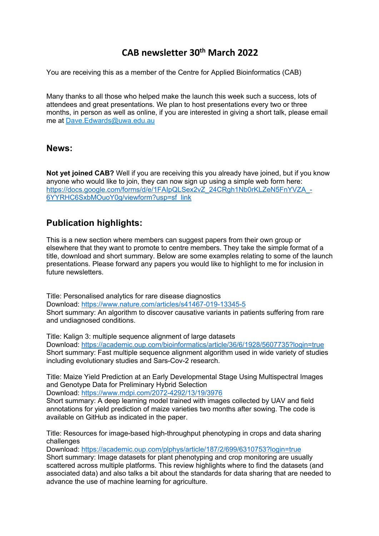# **CAB newsletter 30th March 2022**

You are receiving this as a member of the Centre for Applied Bioinformatics (CAB)

Many thanks to all those who helped make the launch this week such a success, lots of attendees and great presentations. We plan to host presentations every two or three months, in person as well as online, if you are interested in giving a short talk, please email me at Dave.Edwards@uwa.edu.au

#### **News:**

**Not yet joined CAB?** Well if you are receiving this you already have joined, but if you know anyone who would like to join, they can now sign up using a simple web form here: https://docs.google.com/forms/d/e/1FAIpQLSex2vZ\_24CRgh1Nb0rKLZeN5FnYVZA\_-6YYRHC6SxbMOuoY0g/viewform?usp=sf\_link

## **Publication highlights:**

This is a new section where members can suggest papers from their own group or elsewhere that they want to promote to centre members. They take the simple format of a title, download and short summary. Below are some examples relating to some of the launch presentations. Please forward any papers you would like to highlight to me for inclusion in future newsletters

Title: Personalised analytics for rare disease diagnostics Download: https://www.nature.com/articles/s41467-019-13345-5 Short summary: An algorithm to discover causative variants in patients suffering from rare and undiagnosed conditions.

Title: Kalign 3: multiple sequence alignment of large datasets Download: https://academic.oup.com/bioinformatics/article/36/6/1928/5607735?login=true Short summary: Fast multiple sequence alignment algorithm used in wide variety of studies including evolutionary studies and Sars-Cov-2 research.

Title: Maize Yield Prediction at an Early Developmental Stage Using Multispectral Images and Genotype Data for Preliminary Hybrid Selection

Download: https://www.mdpi.com/2072-4292/13/19/3976

Short summary: A deep learning model trained with images collected by UAV and field annotations for yield prediction of maize varieties two months after sowing. The code is available on GitHub as indicated in the paper.

Title: Resources for image-based high-throughput phenotyping in crops and data sharing challenges

Download: https://academic.oup.com/plphys/article/187/2/699/6310753?login=true Short summary: Image datasets for plant phenotyping and crop monitoring are usually scattered across multiple platforms. This review highlights where to find the datasets (and associated data) and also talks a bit about the standards for data sharing that are needed to advance the use of machine learning for agriculture.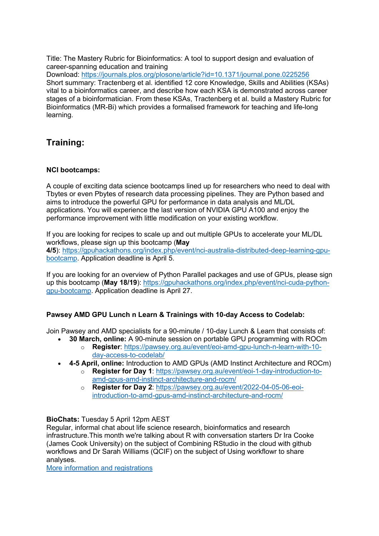Title: The Mastery Rubric for Bioinformatics: A tool to support design and evaluation of career-spanning education and training

Download: https://journals.plos.org/plosone/article?id=10.1371/journal.pone.0225256 Short summary: Tractenberg et al. identified 12 core Knowledge, Skills and Abilities (KSAs) vital to a bioinformatics career, and describe how each KSA is demonstrated across career stages of a bioinformatician. From these KSAs, Tractenberg et al. build a Mastery Rubric for Bioinformatics (MR-Bi) which provides a formalised framework for teaching and life-long learning.

## **Training:**

#### **NCI bootcamps:**

A couple of exciting data science bootcamps lined up for researchers who need to deal with Tbytes or even Pbytes of research data processing pipelines. They are Python based and aims to introduce the powerful GPU for performance in data analysis and ML/DL applications. You will experience the last version of NVIDIA GPU A100 and enjoy the performance improvement with little modification on your existing workflow.

If you are looking for recipes to scale up and out multiple GPUs to accelerate your ML/DL workflows, please sign up this bootcamp (**May 4/5**): https://gpuhackathons.org/index.php/event/nci-australia-distributed-deep-learning-gpu-

bootcamp. Application deadline is April 5.

If you are looking for an overview of Python Parallel packages and use of GPUs, please sign up this bootcamp (**May 18/19**): https://gpuhackathons.org/index.php/event/nci-cuda-pythongpu-bootcamp. Application deadline is April 27.

### **Pawsey AMD GPU Lunch n Learn & Trainings with 10-day Access to Codelab:**

Join Pawsey and AMD specialists for a 90-minute / 10-day Lunch & Learn that consists of:

- **30 March, online:** A 90-minute session on portable GPU programming with ROCm
	- o **Register**: https://pawsey.org.au/event/eoi-amd-gpu-lunch-n-learn-with-10 day-access-to-codelab/
- **4-5 April, online:** Introduction to AMD GPUs (AMD Instinct Architecture and ROCm)
	- o **Register for Day 1**: https://pawsey.org.au/event/eoi-1-day-introduction-toamd-gpus-amd-instinct-architecture-and-rocm/
	- o **Register for Day 2**: https://pawsey.org.au/event/2022-04-05-06-eoiintroduction-to-amd-gpus-amd-instinct-architecture-and-rocm/

#### **BioChats:** Tuesday 5 April 12pm AEST

Regular, informal chat about life science research, bioinformatics and research infrastructure.This month we're talking about R with conversation starters Dr Ira Cooke (James Cook University) on the subject of Combining RStudio in the cloud with github workflows and Dr Sarah Williams (QCIF) on the subject of Using workflowr to share analyses.

More information and registrations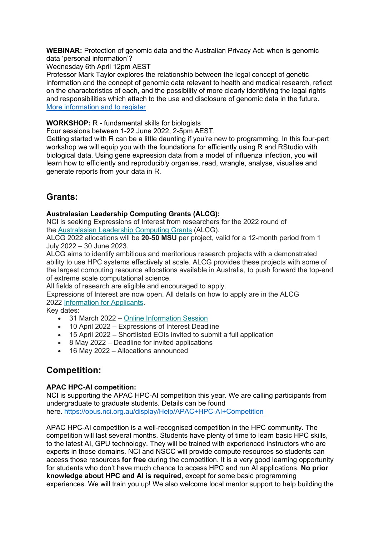**WEBINAR:** Protection of genomic data and the Australian Privacy Act: when is genomic data 'personal information'?

Wednesday 6th April 12pm AEST

Professor Mark Taylor explores the relationship between the legal concept of genetic information and the concept of genomic data relevant to health and medical research, reflect on the characteristics of each, and the possibility of more clearly identifying the legal rights and responsibilities which attach to the use and disclosure of genomic data in the future. More information and to register

**WORKSHOP:** R - fundamental skills for biologists

Four sessions between 1-22 June 2022, 2-5pm AEST.

Getting started with R can be a little daunting if you're new to programming. In this four-part workshop we will equip you with the foundations for efficiently using R and RStudio with biological data. Using gene expression data from a model of influenza infection, you will learn how to efficiently and reproducibly organise, read, wrangle, analyse, visualise and generate reports from your data in R.

## **Grants:**

#### **Australasian Leadership Computing Grants (ALCG):**

NCI is seeking Expressions of Interest from researchers for the 2022 round of the Australasian Leadership Computing Grants (ALCG).

ALCG 2022 allocations will be **20-50 MSU** per project, valid for a 12-month period from 1 July 2022 – 30 June 2023.

ALCG aims to identify ambitious and meritorious research projects with a demonstrated ability to use HPC systems effectively at scale. ALCG provides these projects with some of the largest computing resource allocations available in Australia, to push forward the top-end of extreme scale computational science.

All fields of research are eligible and encouraged to apply.

Expressions of Interest are now open. All details on how to apply are in the ALCG 2022 Information for Applicants.

Key dates:

- 31 March 2022 Online Information Session
- 10 April 2022 Expressions of Interest Deadline
- 15 April 2022 Shortlisted EOIs invited to submit a full application
- 8 May 2022 Deadline for invited applications
- 16 May 2022 Allocations announced

## **Competition:**

#### **APAC HPC-AI competition:**

NCI is supporting the APAC HPC-AI competition this year. We are calling participants from undergraduate to graduate students. Details can be found here. https://opus.nci.org.au/display/Help/APAC+HPC-AI+Competition

APAC HPC-AI competition is a well-recognised competition in the HPC community. The competition will last several months. Students have plenty of time to learn basic HPC skills, to the latest AI, GPU technology. They will be trained with experienced instructors who are experts in those domains. NCI and NSCC will provide compute resources so students can access those resources **for free** during the competition. It is a very good learning opportunity for students who don't have much chance to access HPC and run AI applications. **No prior knowledge about HPC and AI is required**, except for some basic programming experiences. We will train you up! We also welcome local mentor support to help building the